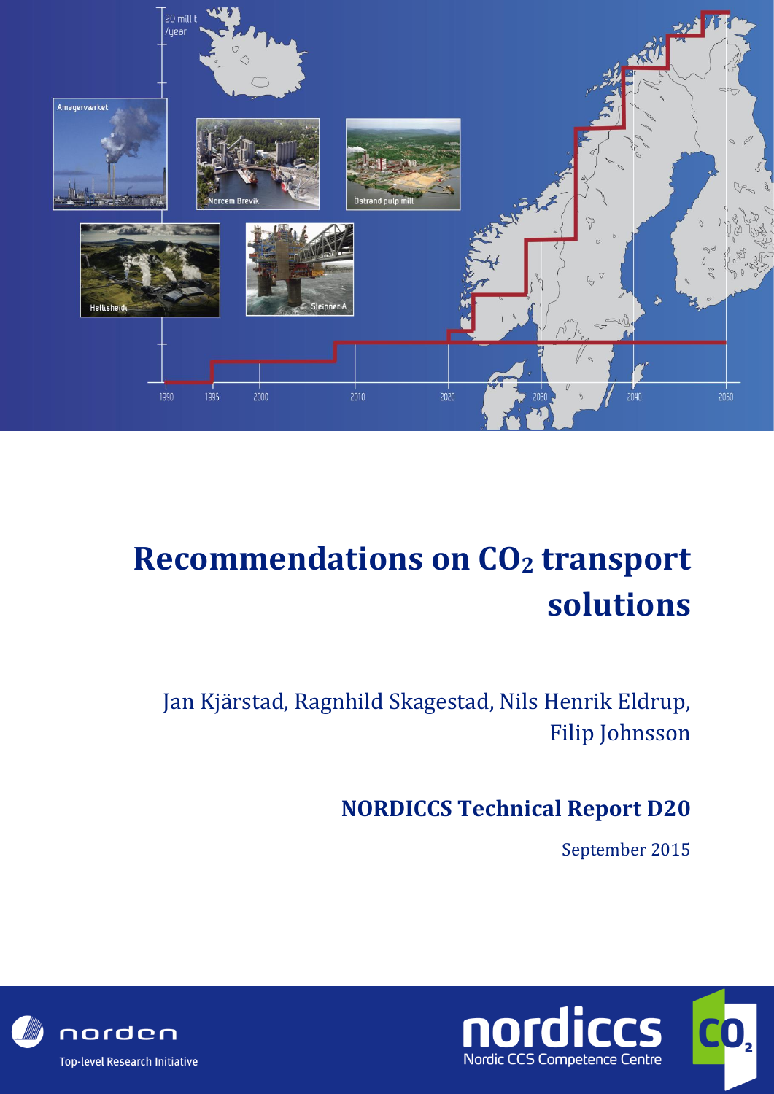

## **Recommendations on CO<sup>2</sup> transport solutions**

Jan Kjärstad, Ragnhild Skagestad, Nils Henrik Eldrup, Filip Johnsson

**NORDICCS Technical Report D20**

September 2015



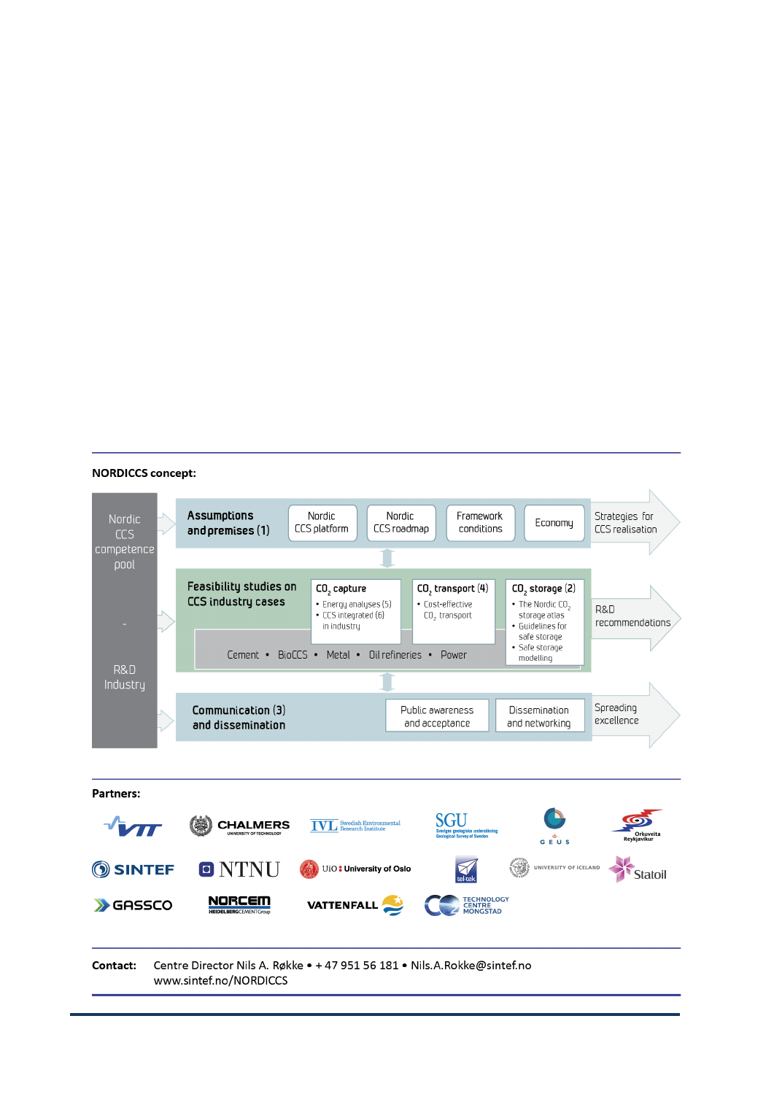## **NORDICCS concept:**

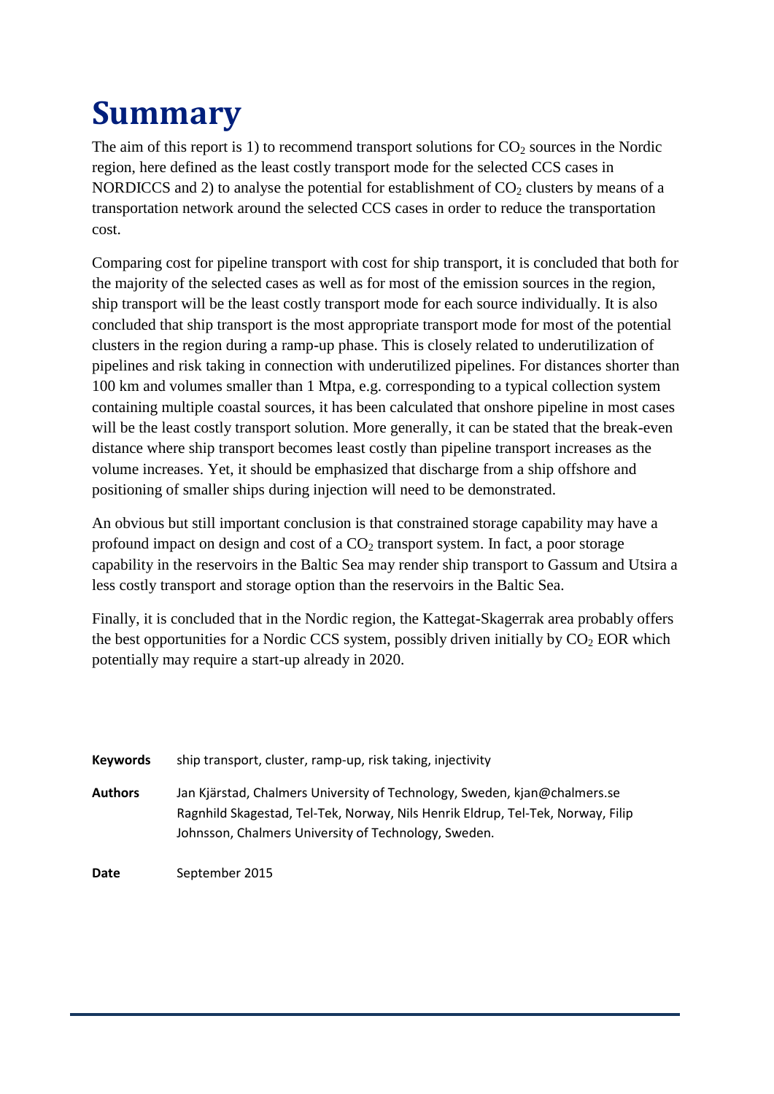## **Summary**

The aim of this report is 1) to recommend transport solutions for  $CO<sub>2</sub>$  sources in the Nordic region, here defined as the least costly transport mode for the selected CCS cases in NORDICCS and 2) to analyse the potential for establishment of  $CO<sub>2</sub>$  clusters by means of a transportation network around the selected CCS cases in order to reduce the transportation cost.

Comparing cost for pipeline transport with cost for ship transport, it is concluded that both for the majority of the selected cases as well as for most of the emission sources in the region, ship transport will be the least costly transport mode for each source individually. It is also concluded that ship transport is the most appropriate transport mode for most of the potential clusters in the region during a ramp-up phase. This is closely related to underutilization of pipelines and risk taking in connection with underutilized pipelines. For distances shorter than 100 km and volumes smaller than 1 Mtpa, e.g. corresponding to a typical collection system containing multiple coastal sources, it has been calculated that onshore pipeline in most cases will be the least costly transport solution. More generally, it can be stated that the break-even distance where ship transport becomes least costly than pipeline transport increases as the volume increases. Yet, it should be emphasized that discharge from a ship offshore and positioning of smaller ships during injection will need to be demonstrated.

An obvious but still important conclusion is that constrained storage capability may have a profound impact on design and cost of a  $CO<sub>2</sub>$  transport system. In fact, a poor storage capability in the reservoirs in the Baltic Sea may render ship transport to Gassum and Utsira a less costly transport and storage option than the reservoirs in the Baltic Sea.

Finally, it is concluded that in the Nordic region, the Kattegat-Skagerrak area probably offers the best opportunities for a Nordic CCS system, possibly driven initially by  $CO<sub>2</sub> EOR$  which potentially may require a start-up already in 2020.

| <b>Keywords</b> | ship transport, cluster, ramp-up, risk taking, injectivity                                                                                                                                                           |
|-----------------|----------------------------------------------------------------------------------------------------------------------------------------------------------------------------------------------------------------------|
| <b>Authors</b>  | Jan Kjärstad, Chalmers University of Technology, Sweden, kjan@chalmers.se<br>Ragnhild Skagestad, Tel-Tek, Norway, Nils Henrik Eldrup, Tel-Tek, Norway, Filip<br>Johnsson, Chalmers University of Technology, Sweden. |
| Date            | September 2015                                                                                                                                                                                                       |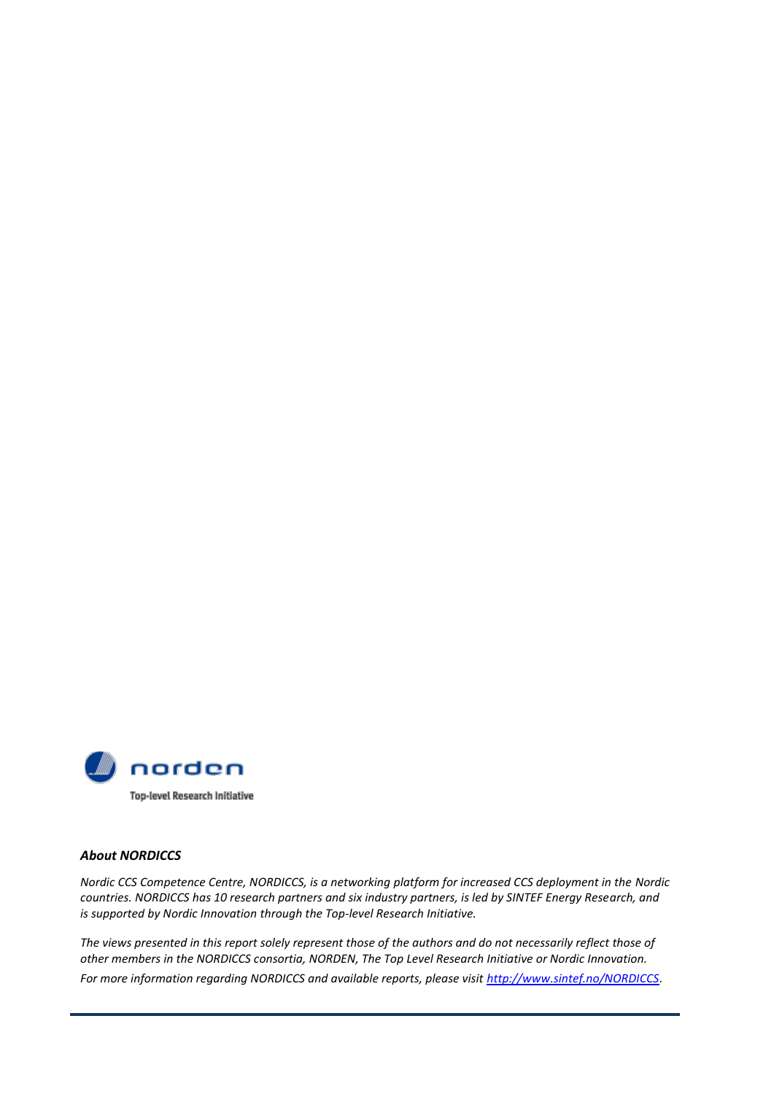

## *About NORDICCS*

*Nordic CCS Competence Centre, NORDICCS, is a networking platform for increased CCS deployment in the Nordic countries. NORDICCS has 10 research partners and six industry partners, is led by SINTEF Energy Research, and is supported by Nordic Innovation through the Top-level Research Initiative.*

*The views presented in this report solely represent those of the authors and do not necessarily reflect those of other members in the NORDICCS consortia, NORDEN, The Top Level Research Initiative or Nordic Innovation. For more information regarding NORDICCS and available reports, please visit<http://www.sintef.no/NORDICCS>*.